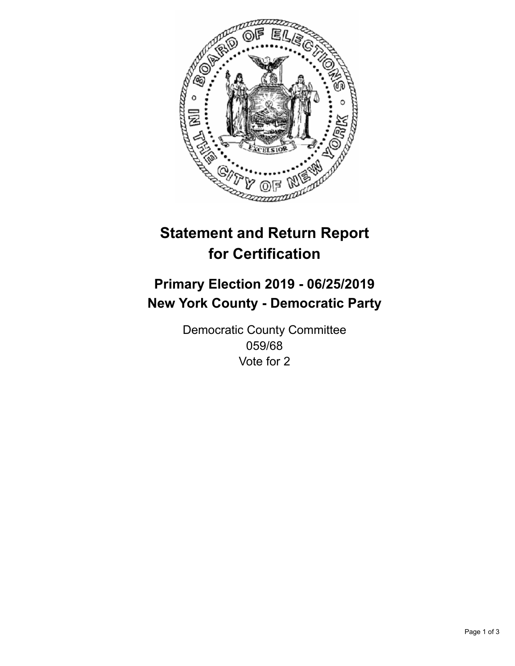

## **Statement and Return Report for Certification**

## **Primary Election 2019 - 06/25/2019 New York County - Democratic Party**

Democratic County Committee 059/68 Vote for 2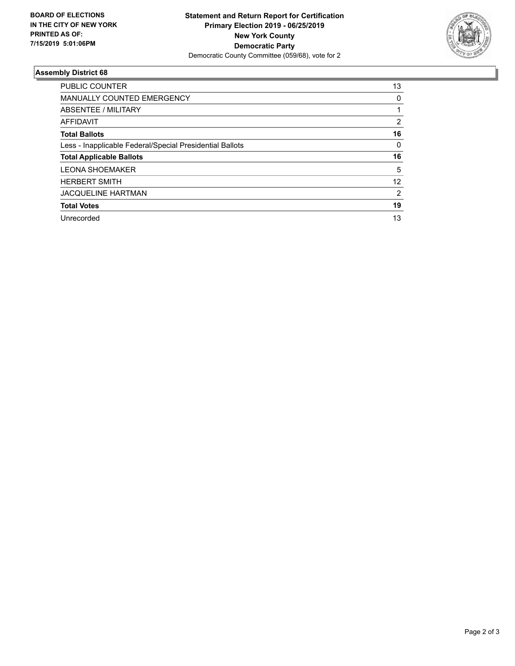

## **Assembly District 68**

| <b>PUBLIC COUNTER</b>                                    | 13 |
|----------------------------------------------------------|----|
| <b>MANUALLY COUNTED EMERGENCY</b>                        | 0  |
| ABSENTEE / MILITARY                                      |    |
| AFFIDAVIT                                                | 2  |
| <b>Total Ballots</b>                                     | 16 |
| Less - Inapplicable Federal/Special Presidential Ballots | 0  |
| <b>Total Applicable Ballots</b>                          | 16 |
| <b>LEONA SHOEMAKER</b>                                   | 5  |
| <b>HERBERT SMITH</b>                                     | 12 |
| <b>JACQUELINE HARTMAN</b>                                | 2  |
| <b>Total Votes</b>                                       | 19 |
| Unrecorded                                               | 13 |